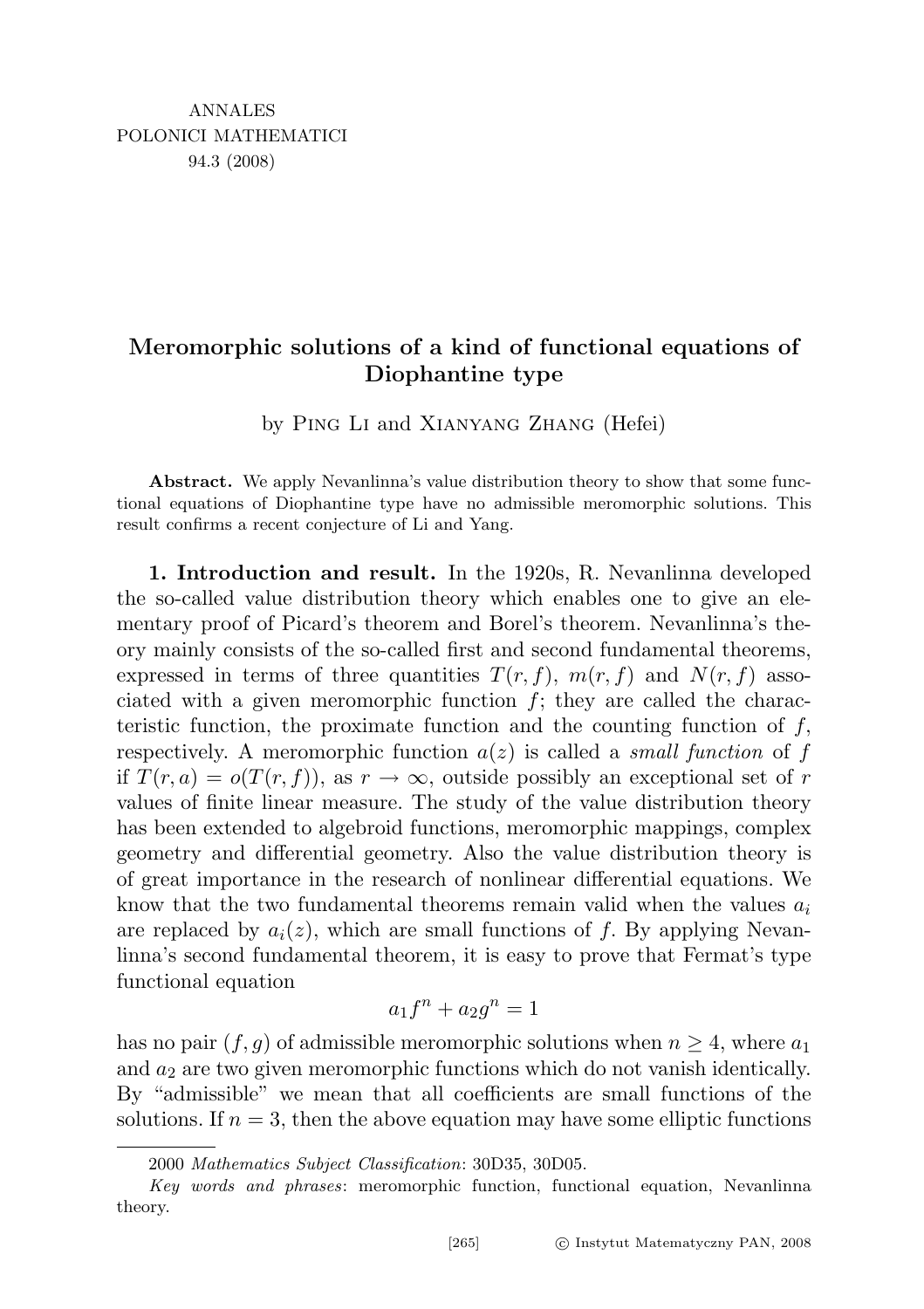## Meromorphic solutions of a kind of functional equations of Diophantine type

by Ping Li and Xianyang Zhang (Hefei)

Abstract. We apply Nevanlinna's value distribution theory to show that some functional equations of Diophantine type have no admissible meromorphic solutions. This result confirms a recent conjecture of Li and Yang.

1. Introduction and result. In the 1920s, R. Nevanlinna developed the so-called value distribution theory which enables one to give an elementary proof of Picard's theorem and Borel's theorem. Nevanlinna's theory mainly consists of the so-called first and second fundamental theorems, expressed in terms of three quantities  $T(r, f)$ ,  $m(r, f)$  and  $N(r, f)$  associated with a given meromorphic function  $f$ ; they are called the characteristic function, the proximate function and the counting function of  $f$ , respectively. A meromorphic function  $a(z)$  is called a *small function* of f if  $T(r, a) = o(T(r, f))$ , as  $r \to \infty$ , outside possibly an exceptional set of r values of finite linear measure. The study of the value distribution theory has been extended to algebroid functions, meromorphic mappings, complex geometry and differential geometry. Also the value distribution theory is of great importance in the research of nonlinear differential equations. We know that the two fundamental theorems remain valid when the values  $a_i$ are replaced by  $a_i(z)$ , which are small functions of f. By applying Nevanlinna's second fundamental theorem, it is easy to prove that Fermat's type functional equation

$$
a_1f^n + a_2g^n = 1
$$

has no pair  $(f, g)$  of admissible meromorphic solutions when  $n \geq 4$ , where  $a_1$ and  $a_2$  are two given meromorphic functions which do not vanish identically. By "admissible" we mean that all coefficients are small functions of the solutions. If  $n = 3$ , then the above equation may have some elliptic functions

<sup>2000</sup> Mathematics Subject Classification: 30D35, 30D05.

Key words and phrases: meromorphic function, functional equation, Nevanlinna theory.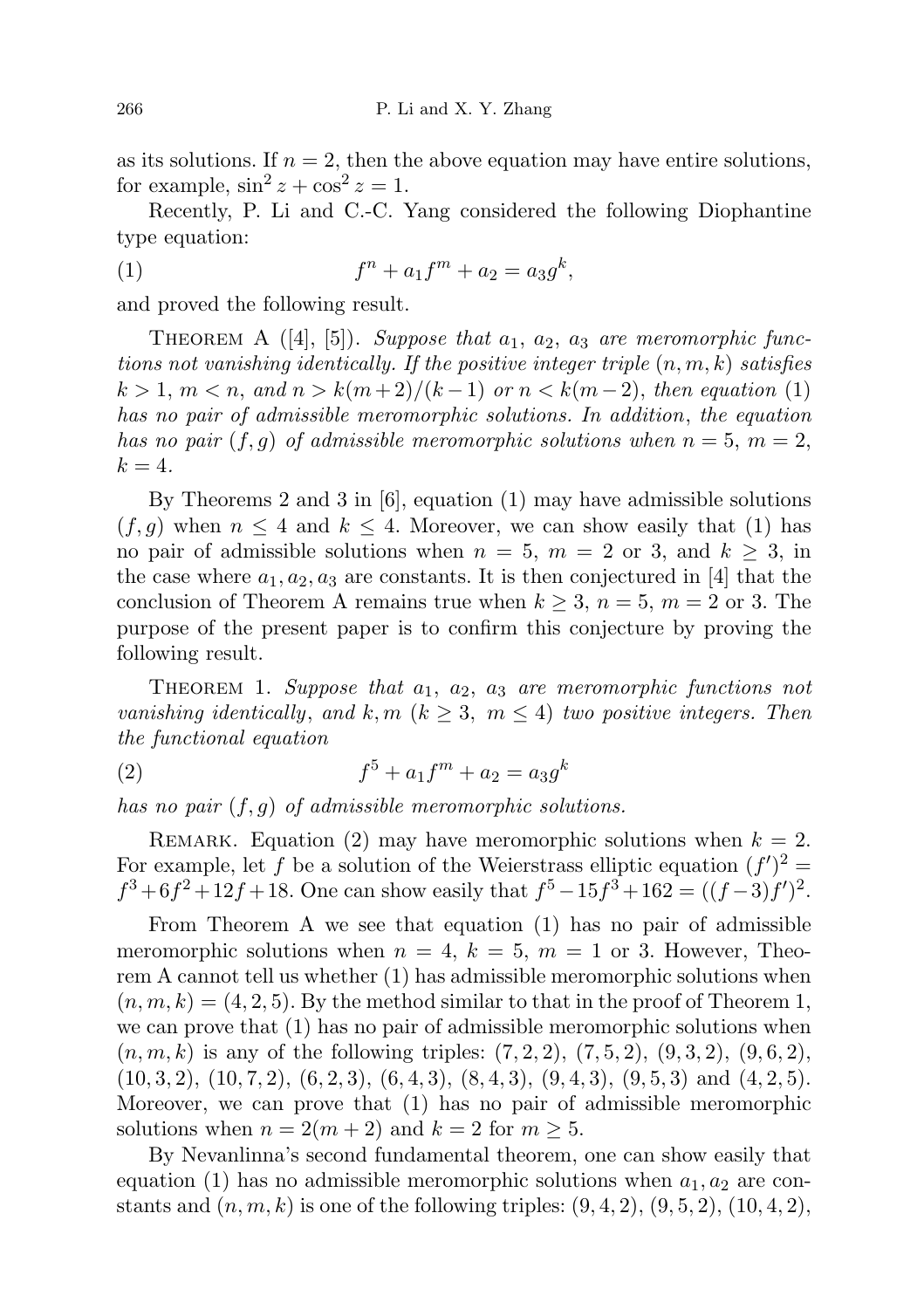as its solutions. If  $n = 2$ , then the above equation may have entire solutions, for example,  $\sin^2 z + \cos^2 z = 1$ .

Recently, P. Li and C.-C. Yang considered the following Diophantine type equation:

(1) 
$$
f^{n} + a_{1}f^{m} + a_{2} = a_{3}g^{k},
$$

and proved the following result.

THEOREM A  $([4], [5])$ . Suppose that  $a_1, a_2, a_3$  are meromorphic functions not vanishing identically. If the positive integer triple  $(n, m, k)$  satisfies  $k > 1, m < n, and n > k(m+2)/(k-1)$  or  $n < k(m-2)$ , then equation (1) has no pair of admissible meromorphic solutions. In addition, the equation has no pair  $(f, g)$  of admissible meromorphic solutions when  $n = 5, m = 2$ ,  $k=4$ .

By Theorems 2 and 3 in [6], equation (1) may have admissible solutions  $(f, g)$  when  $n \leq 4$  and  $k \leq 4$ . Moreover, we can show easily that (1) has no pair of admissible solutions when  $n = 5$ ,  $m = 2$  or 3, and  $k \ge 3$ , in the case where  $a_1, a_2, a_3$  are constants. It is then conjectured in [4] that the conclusion of Theorem A remains true when  $k \geq 3$ ,  $n = 5$ ,  $m = 2$  or 3. The purpose of the present paper is to confirm this conjecture by proving the following result.

THEOREM 1. Suppose that  $a_1, a_2, a_3$  are meromorphic functions not vanishing identically, and  $k, m \ (k \geq 3, m \leq 4)$  two positive integers. Then the functional equation

(2) 
$$
f^5 + a_1 f^m + a_2 = a_3 g^k
$$

has no pair  $(f, g)$  of admissible meromorphic solutions.

REMARK. Equation (2) may have meromorphic solutions when  $k = 2$ . For example, let f be a solution of the Weierstrass elliptic equation  $(f')^2$  =  $f^3 + 6f^2 + 12f + 18$ . One can show easily that  $f^5 - 15f^3 + 162 = ((f-3)f')^2$ .

From Theorem A we see that equation (1) has no pair of admissible meromorphic solutions when  $n = 4$ ,  $k = 5$ ,  $m = 1$  or 3. However, Theorem A cannot tell us whether (1) has admissible meromorphic solutions when  $(n, m, k) = (4, 2, 5)$ . By the method similar to that in the proof of Theorem 1, we can prove that (1) has no pair of admissible meromorphic solutions when  $(n, m, k)$  is any of the following triples:  $(7, 2, 2), (7, 5, 2), (9, 3, 2), (9, 6, 2),$  $(10, 3, 2), (10, 7, 2), (6, 2, 3), (6, 4, 3), (8, 4, 3), (9, 4, 3), (9, 5, 3)$  and  $(4, 2, 5)$ . Moreover, we can prove that (1) has no pair of admissible meromorphic solutions when  $n = 2(m+2)$  and  $k = 2$  for  $m \ge 5$ .

By Nevanlinna's second fundamental theorem, one can show easily that equation (1) has no admissible meromorphic solutions when  $a_1, a_2$  are constants and  $(n, m, k)$  is one of the following triples:  $(9, 4, 2)$ ,  $(9, 5, 2)$ ,  $(10, 4, 2)$ ,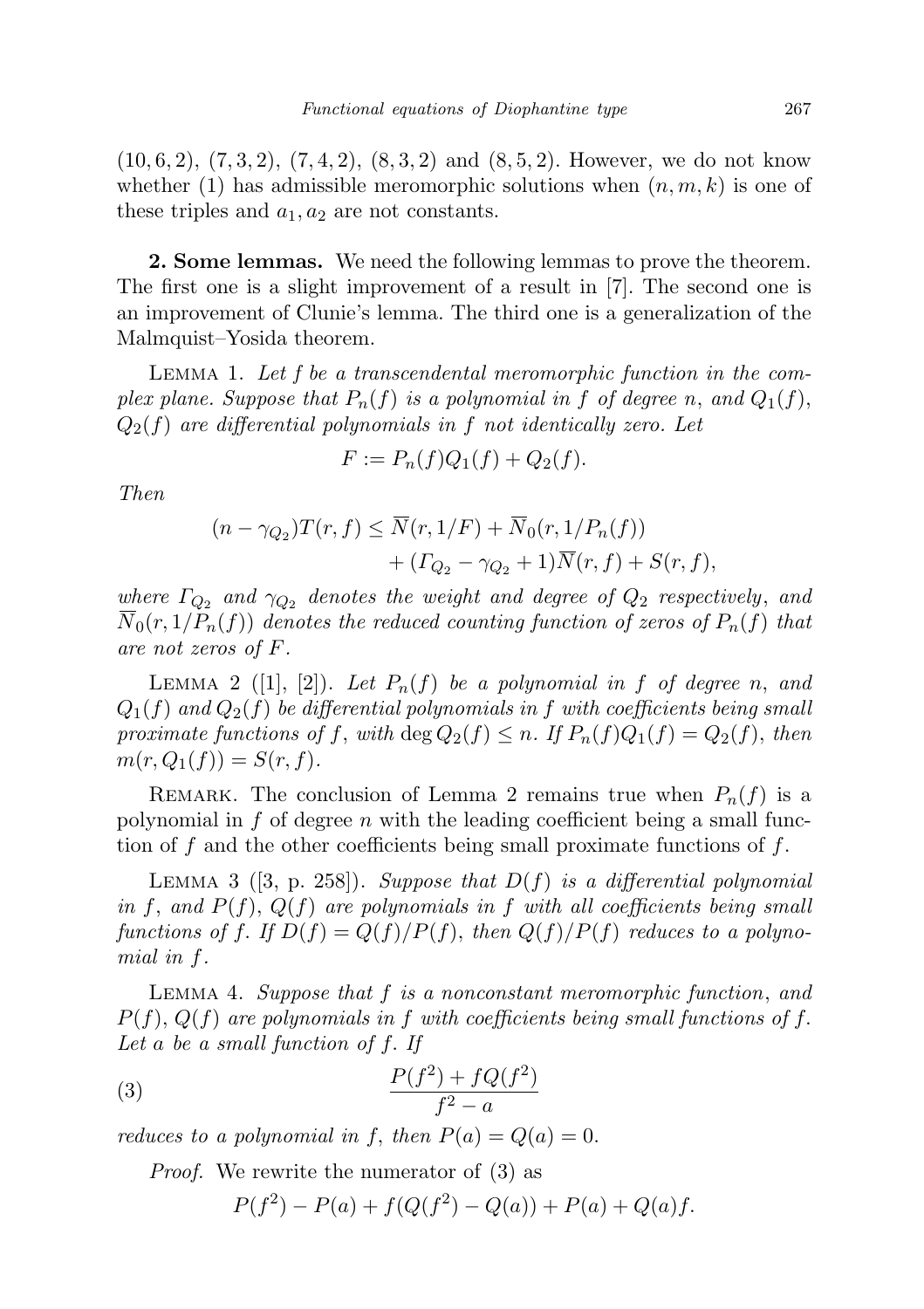$(10, 6, 2), (7, 3, 2), (7, 4, 2), (8, 3, 2)$  and  $(8, 5, 2)$ . However, we do not know whether (1) has admissible meromorphic solutions when  $(n, m, k)$  is one of these triples and  $a_1, a_2$  are not constants.

2. Some lemmas. We need the following lemmas to prove the theorem. The first one is a slight improvement of a result in [7]. The second one is an improvement of Clunie's lemma. The third one is a generalization of the Malmquist–Yosida theorem.

Lemma 1. Let f be a transcendental meromorphic function in the complex plane. Suppose that  $P_n(f)$  is a polynomial in f of degree n, and  $Q_1(f)$ ,  $Q_2(f)$  are differential polynomials in f not identically zero. Let

$$
F := P_n(f)Q_1(f) + Q_2(f).
$$

Then

$$
(n - \gamma_{Q_2})T(r, f) \leq \overline{N}(r, 1/F) + \overline{N}_0(r, 1/P_n(f)) + ( \Gamma_{Q_2} - \gamma_{Q_2} + 1) \overline{N}(r, f) + S(r, f),
$$

where  $\Gamma_{Q_2}$  and  $\gamma_{Q_2}$  denotes the weight and degree of  $Q_2$  respectively, and  $N_0(r, 1/P_n(f))$  denotes the reduced counting function of zeros of  $P_n(f)$  that are not zeros of F.

LEMMA 2 ([1], [2]). Let  $P_n(f)$  be a polynomial in f of degree n, and  $Q_1(f)$  and  $Q_2(f)$  be differential polynomials in f with coefficients being small proximate functions of f, with deg  $Q_2(f) \leq n$ . If  $P_n(f)Q_1(f) = Q_2(f)$ , then  $m(r, Q_1(f)) = S(r, f).$ 

REMARK. The conclusion of Lemma 2 remains true when  $P_n(f)$  is a polynomial in  $f$  of degree  $n$  with the leading coefficient being a small function of f and the other coefficients being small proximate functions of  $f$ .

LEMMA 3 ([3, p. 258]). Suppose that  $D(f)$  is a differential polynomial in f, and  $P(f)$ ,  $Q(f)$  are polynomials in f with all coefficients being small functions of f. If  $D(f) = Q(f)/P(f)$ , then  $Q(f)/P(f)$  reduces to a polynomial in f.

Lemma 4. Suppose that f is a nonconstant meromorphic function, and  $P(f), Q(f)$  are polynomials in f with coefficients being small functions of f. Let a be a small function of f. If

$$
(3) \qquad \qquad \frac{P(f^2) + fQ(f^2)}{f^2 - a}
$$

reduces to a polynomial in f, then  $P(a) = Q(a) = 0$ .

Proof. We rewrite the numerator of (3) as

$$
P(f^{2}) - P(a) + f(Q(f^{2}) - Q(a)) + P(a) + Q(a)f.
$$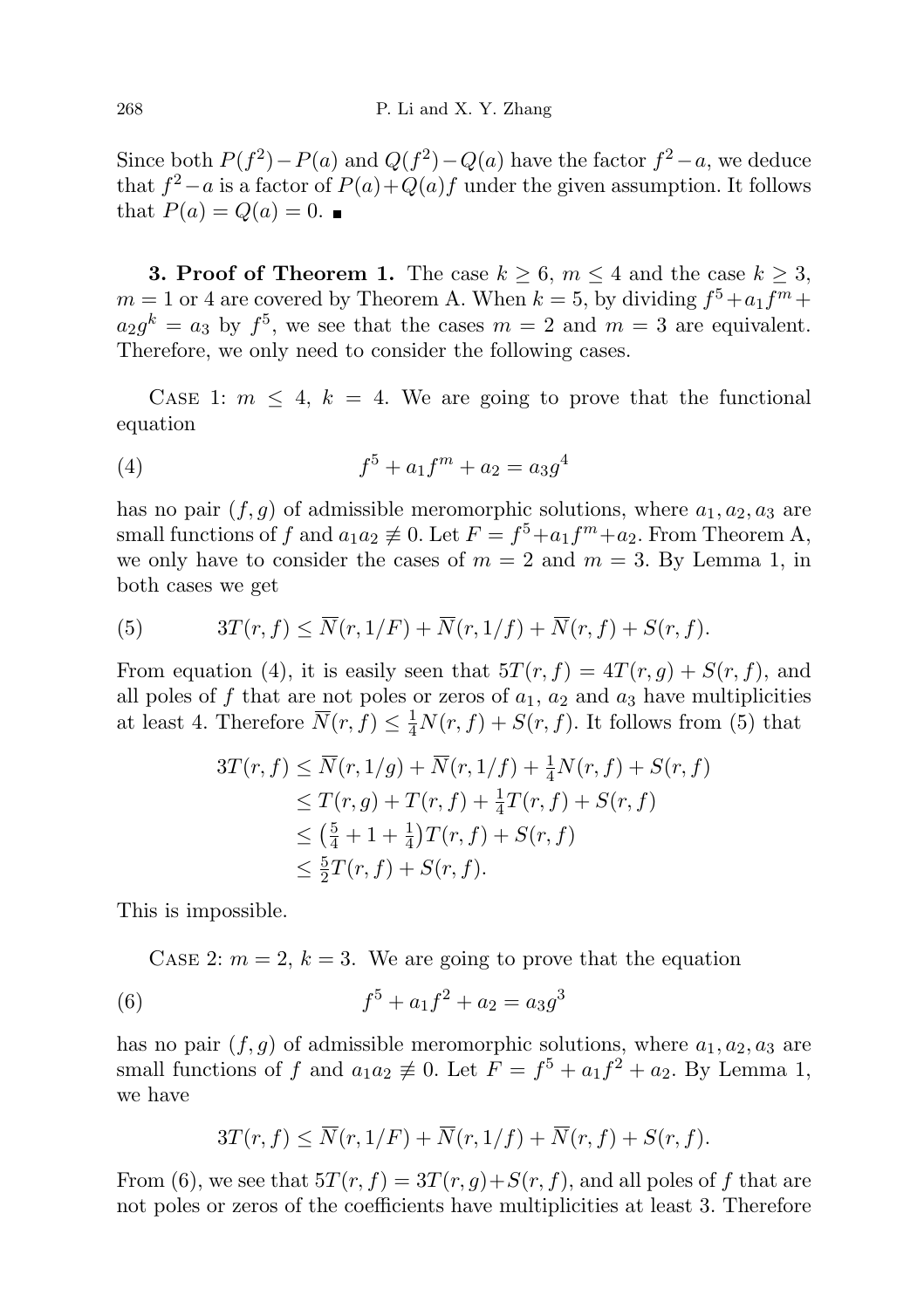Since both  $P(f^2) - P(a)$  and  $Q(f^2) - Q(a)$  have the factor  $f^2 - a$ , we deduce that  $f^2 - a$  is a factor of  $P(a) + Q(a)f$  under the given assumption. It follows that  $P(a) = Q(a) = 0$ .

**3. Proof of Theorem 1.** The case  $k \geq 6$ ,  $m \leq 4$  and the case  $k \geq 3$ ,  $m = 1$  or 4 are covered by Theorem A. When  $k = 5$ , by dividing  $f^5 + a_1 f^m +$  $a_2g^k = a_3$  by  $f^5$ , we see that the cases  $m = 2$  and  $m = 3$  are equivalent. Therefore, we only need to consider the following cases.

CASE 1:  $m \leq 4$ ,  $k = 4$ . We are going to prove that the functional equation

(4) 
$$
f^5 + a_1 f^m + a_2 = a_3 g^4
$$

has no pair  $(f, g)$  of admissible meromorphic solutions, where  $a_1, a_2, a_3$  are small functions of f and  $a_1 a_2 \neq 0$ . Let  $F = f^5 + a_1 f^m + a_2$ . From Theorem A, we only have to consider the cases of  $m = 2$  and  $m = 3$ . By Lemma 1, in both cases we get

(5) 
$$
3T(r, f) \leq \overline{N}(r, 1/F) + \overline{N}(r, 1/f) + \overline{N}(r, f) + S(r, f).
$$

From equation (4), it is easily seen that  $5T(r, f) = 4T(r, g) + S(r, f)$ , and all poles of f that are not poles or zeros of  $a_1$ ,  $a_2$  and  $a_3$  have multiplicities at least 4. Therefore  $\overline{N}(r, f) \leq \frac{1}{4}N(r, f) + S(r, f)$ . It follows from (5) that

$$
3T(r, f) \le \overline{N}(r, 1/g) + \overline{N}(r, 1/f) + \frac{1}{4}N(r, f) + S(r, f)
$$
  
\n
$$
\le T(r, g) + T(r, f) + \frac{1}{4}T(r, f) + S(r, f)
$$
  
\n
$$
\le (\frac{5}{4} + 1 + \frac{1}{4})T(r, f) + S(r, f)
$$
  
\n
$$
\le \frac{5}{2}T(r, f) + S(r, f).
$$

This is impossible.

CASE 2:  $m = 2, k = 3$ . We are going to prove that the equation

(6) 
$$
f^5 + a_1 f^2 + a_2 = a_3 g^3
$$

has no pair  $(f, g)$  of admissible meromorphic solutions, where  $a_1, a_2, a_3$  are small functions of f and  $a_1a_2 \not\equiv 0$ . Let  $F = f^5 + a_1f^2 + a_2$ . By Lemma 1, we have

$$
3T(r, f) \le \overline{N}(r, 1/F) + \overline{N}(r, 1/f) + \overline{N}(r, f) + S(r, f).
$$

From (6), we see that  $5T(r, f) = 3T(r, g) + S(r, f)$ , and all poles of f that are not poles or zeros of the coefficients have multiplicities at least 3. Therefore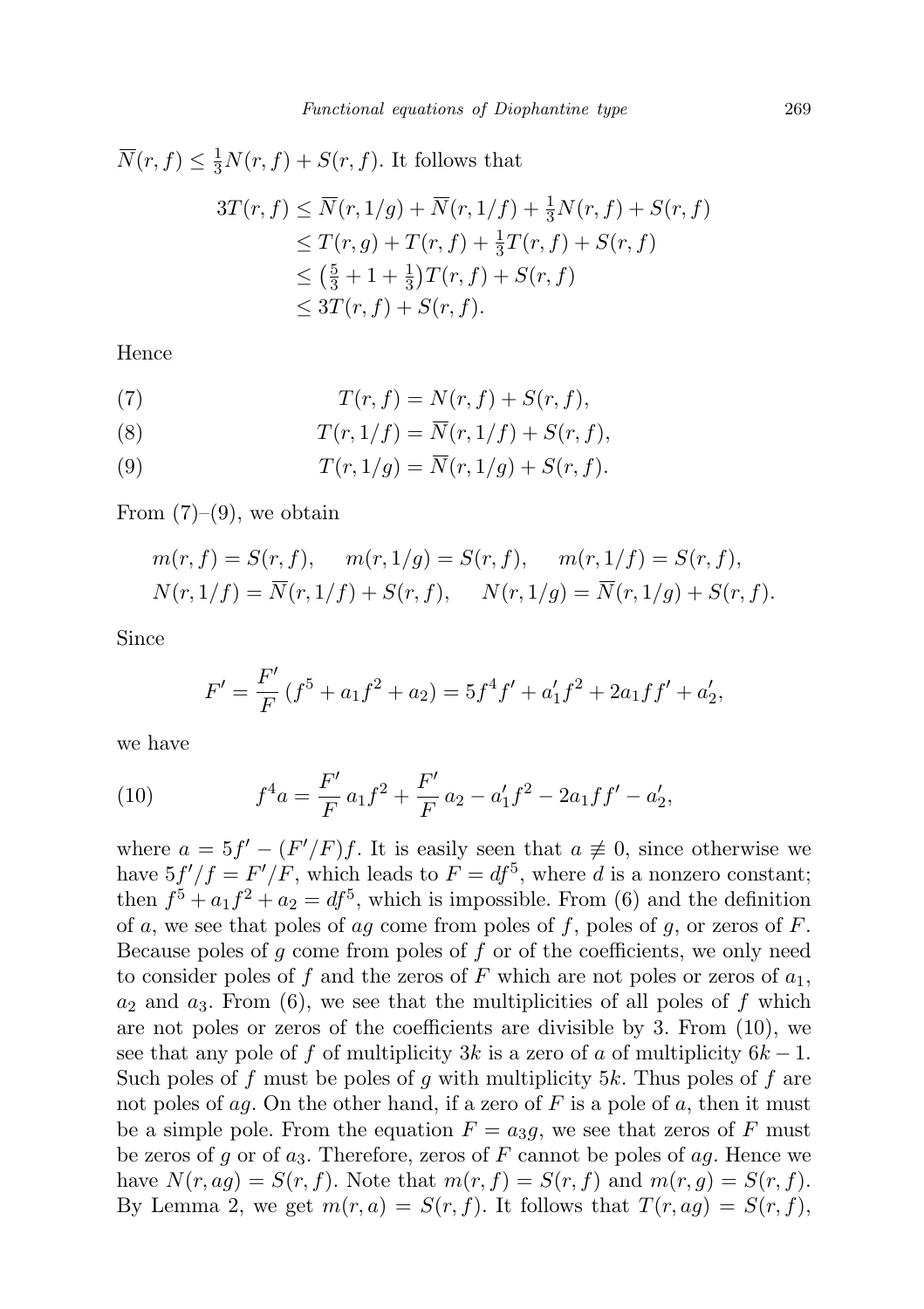$$
\overline{N}(r, f) \leq \frac{1}{3}N(r, f) + S(r, f). \text{ It follows that}
$$
\n
$$
3T(r, f) \leq \overline{N}(r, 1/g) + \overline{N}(r, 1/f) + \frac{1}{3}N(r, f) + S(r, f)
$$
\n
$$
\leq T(r, g) + T(r, f) + \frac{1}{3}T(r, f) + S(r, f)
$$
\n
$$
\leq \left(\frac{5}{3} + 1 + \frac{1}{3}\right)T(r, f) + S(r, f)
$$
\n
$$
\leq 3T(r, f) + S(r, f).
$$

Hence

(7) 
$$
T(r, f) = N(r, f) + S(r, f),
$$

(8) 
$$
T(r,1/f) = \overline{N}(r,1/f) + S(r,f),
$$

(9) 
$$
T(r, 1/g) = \overline{N}(r, 1/g) + S(r, f).
$$

From  $(7)-(9)$ , we obtain

$$
m(r, f) = S(r, f), \quad m(r, 1/g) = S(r, f), \quad m(r, 1/f) = S(r, f),
$$
  

$$
N(r, 1/f) = \overline{N}(r, 1/f) + S(r, f), \quad N(r, 1/g) = \overline{N}(r, 1/g) + S(r, f).
$$

Since

$$
F' = \frac{F'}{F} (f^5 + a_1 f^2 + a_2) = 5f^4 f' + a'_1 f^2 + 2a_1 f f' + a'_2,
$$

we have

(10) 
$$
f^4a = \frac{F'}{F} a_1 f^2 + \frac{F'}{F} a_2 - a'_1 f^2 - 2a_1 f f' - a'_2,
$$

where  $a = 5f' - (F'/F)f$ . It is easily seen that  $a \neq 0$ , since otherwise we have  $5f'/f = F'/F$ , which leads to  $F = df^5$ , where d is a nonzero constant; then  $f^5 + a_1 f^2 + a_2 = df^5$ , which is impossible. From (6) and the definition of a, we see that poles of ag come from poles of f, poles of g, or zeros of  $F$ . Because poles of  $q$  come from poles of  $f$  or of the coefficients, we only need to consider poles of f and the zeros of F which are not poles or zeros of  $a_1$ ,  $a_2$  and  $a_3$ . From (6), we see that the multiplicities of all poles of f which are not poles or zeros of the coefficients are divisible by 3. From (10), we see that any pole of f of multiplicity 3k is a zero of a of multiplicity  $6k-1$ . Such poles of f must be poles of g with multiplicity 5k. Thus poles of f are not poles of ag. On the other hand, if a zero of F is a pole of a, then it must be a simple pole. From the equation  $F = a_3g$ , we see that zeros of F must be zeros of g or of  $a_3$ . Therefore, zeros of F cannot be poles of  $a_3$ . Hence we have  $N(r, ag) = S(r, f)$ . Note that  $m(r, f) = S(r, f)$  and  $m(r, g) = S(r, f)$ . By Lemma 2, we get  $m(r, a) = S(r, f)$ . It follows that  $T(r, a g) = S(r, f)$ ,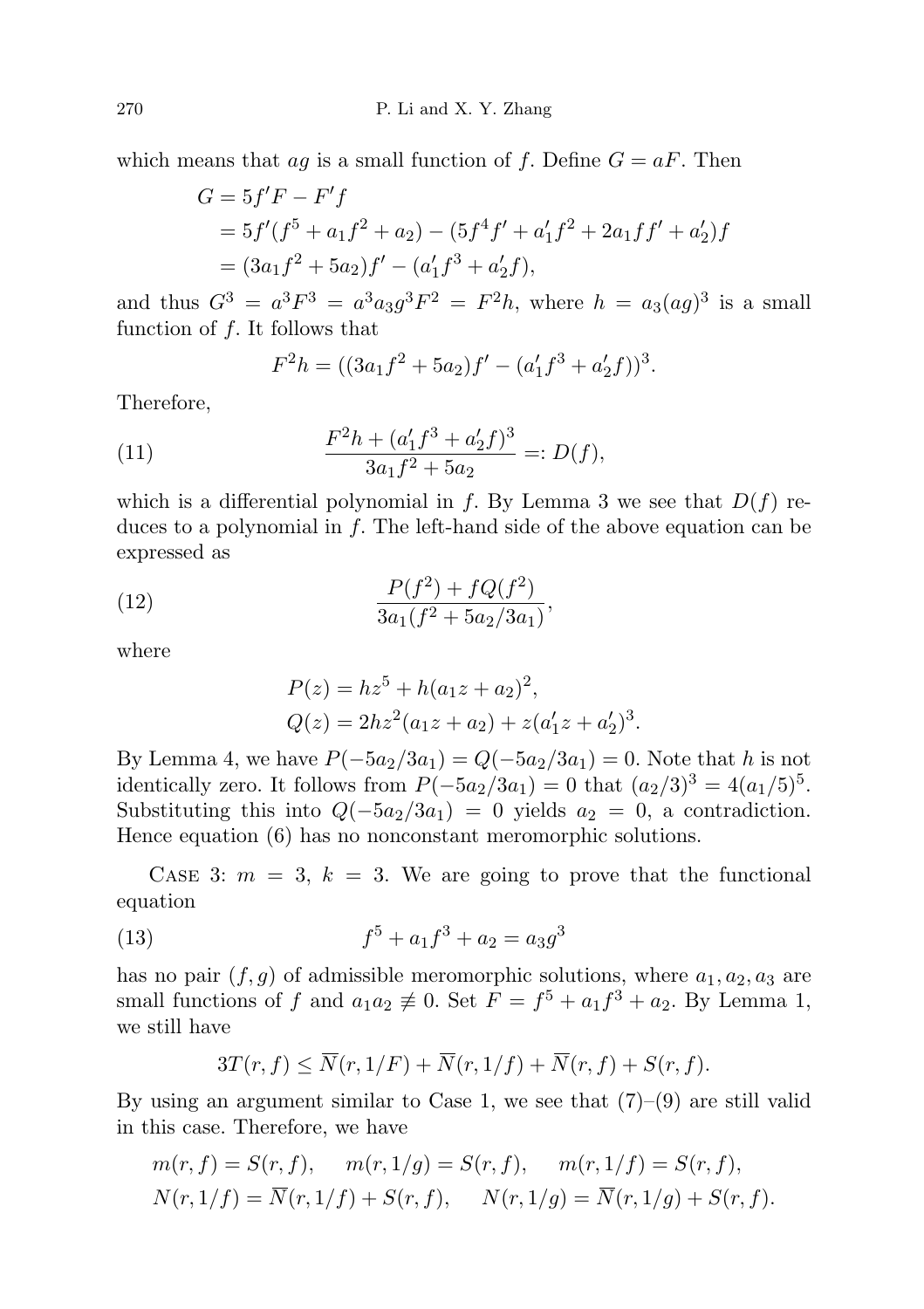which means that ag is a small function of f. Define  $G = aF$ . Then

$$
G = 5f'F - F'f
$$
  
=  $5f'(f^5 + a_1f^2 + a_2) - (5f^4f' + a'_1f^2 + 2a_1ff' + a'_2)f$   
=  $(3a_1f^2 + 5a_2)f' - (a'_1f^3 + a'_2f),$ 

and thus  $G^3 = a^3F^3 = a^3a_3g^3F^2 = F^2h$ , where  $h = a_3(ag)^3$  is a small function of f. It follows that

$$
F^{2}h = ((3a_{1}f^{2} + 5a_{2})f' - (a'_{1}f^{3} + a'_{2}f))^{3}.
$$

Therefore,

(11) 
$$
\frac{F^2h + (a'_1f^3 + a'_2f)^3}{3a_1f^2 + 5a_2} =: D(f),
$$

which is a differential polynomial in f. By Lemma 3 we see that  $D(f)$  reduces to a polynomial in  $f$ . The left-hand side of the above equation can be expressed as

(12) 
$$
\frac{P(f^2) + fQ(f^2)}{3a_1(f^2 + 5a_2/3a_1)},
$$

where

$$
P(z) = h z5 + h(a1z + a2)2,
$$
  
 
$$
Q(z) = 2h z2(a1z + a2) + z(a'1z + a'2)3.
$$

By Lemma 4, we have  $P(-5a_2/3a_1) = Q(-5a_2/3a_1) = 0$ . Note that h is not identically zero. It follows from  $P(-5a_2/3a_1) = 0$  that  $(a_2/3)^3 = 4(a_1/5)^5$ . Substituting this into  $Q(-5a_2/3a_1) = 0$  yields  $a_2 = 0$ , a contradiction. Hence equation (6) has no nonconstant meromorphic solutions.

CASE 3:  $m = 3$ ,  $k = 3$ . We are going to prove that the functional equation

(13) 
$$
f^5 + a_1 f^3 + a_2 = a_3 g^3
$$

has no pair  $(f, g)$  of admissible meromorphic solutions, where  $a_1, a_2, a_3$  are small functions of f and  $a_1a_2 \not\equiv 0$ . Set  $F = f^5 + a_1f^3 + a_2$ . By Lemma 1, we still have

$$
3T(r, f) \le \overline{N}(r, 1/F) + \overline{N}(r, 1/f) + \overline{N}(r, f) + S(r, f).
$$

By using an argument similar to Case 1, we see that  $(7)-(9)$  are still valid in this case. Therefore, we have

$$
m(r, f) = S(r, f), \quad m(r, 1/g) = S(r, f), \quad m(r, 1/f) = S(r, f),
$$
  

$$
N(r, 1/f) = \overline{N}(r, 1/f) + S(r, f), \quad N(r, 1/g) = \overline{N}(r, 1/g) + S(r, f).
$$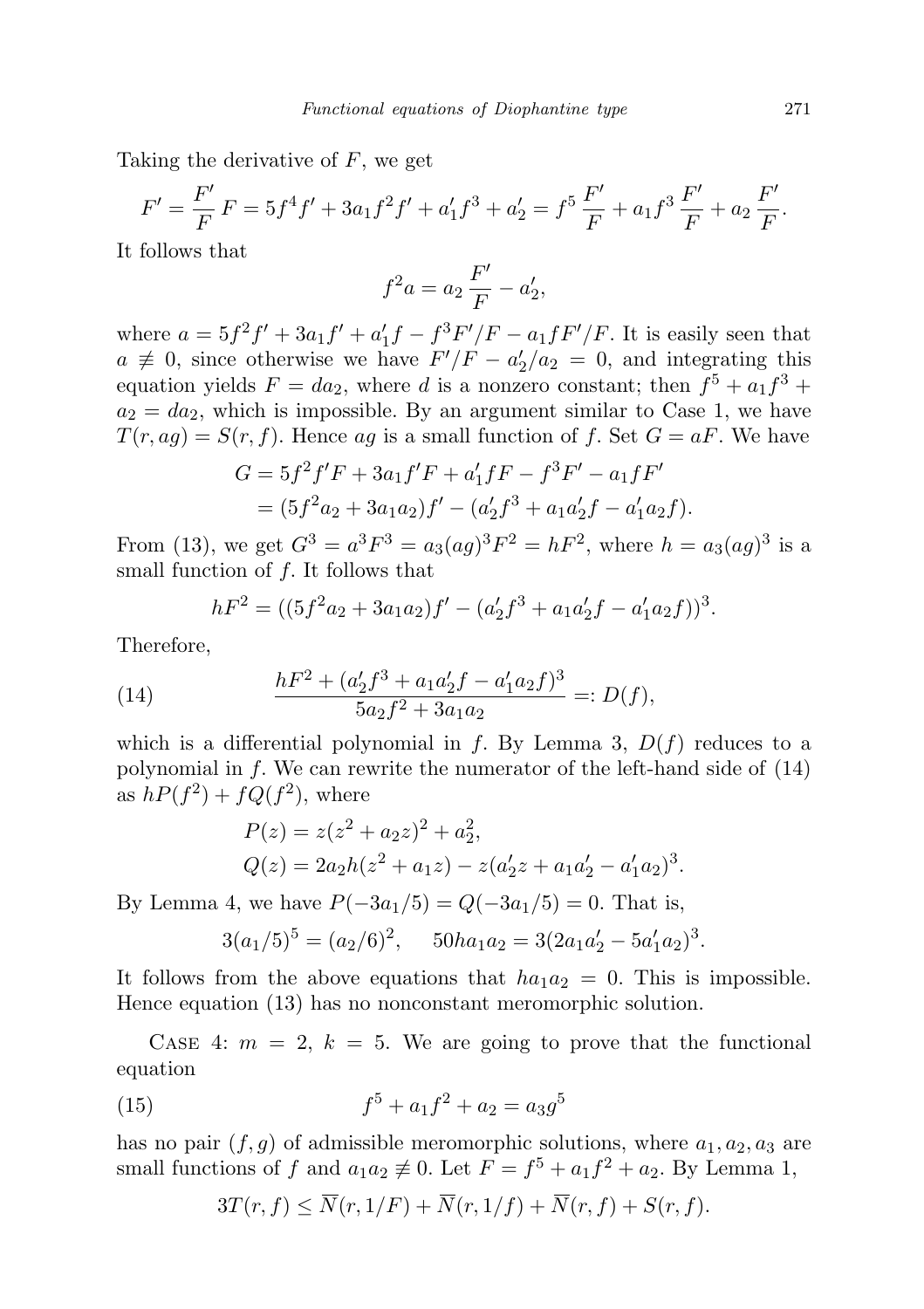Taking the derivative of F, we get

$$
F' = \frac{F'}{F} F = 5f^4 f' + 3a_1 f^2 f' + a'_1 f^3 + a'_2 = f^5 \frac{F'}{F} + a_1 f^3 \frac{F'}{F} + a_2 \frac{F'}{F}.
$$

It follows that

$$
f^2 a = a_2 \frac{F'}{F} - a'_2,
$$

where  $a = 5f^2f' + 3a_1f' + a'_1f - f^3F'/F - a_1fF'/F$ . It is easily seen that  $a \neq 0$ , since otherwise we have  $F'/F - a'_2/a_2 = 0$ , and integrating this equation yields  $F = da_2$ , where d is a nonzero constant; then  $f^5 + a_1 f^3 +$  $a_2 = da_2$ , which is impossible. By an argument similar to Case 1, we have  $T(r, ag) = S(r, f)$ . Hence ag is a small function of f. Set  $G = aF$ . We have

$$
G = 5f^2f'F + 3a_1f'F + a'_1fF - f^3F' - a_1fF'
$$
  
=  $(5f^2a_2 + 3a_1a_2)f' - (a'_2f^3 + a_1a'_2f - a'_1a_2f).$ 

From (13), we get  $G^3 = a^3F^3 = a_3(ag)^3F^2 = hF^2$ , where  $h = a_3(ag)^3$  is a small function of f. It follows that

$$
hF2 = ((5f2a2 + 3a1a2)f' – (a'2f3 + a1a'2f – a'1a2f))3.
$$

Therefore,

(14) 
$$
\frac{hF^2 + (a'_2f^3 + a_1a'_2f - a'_1a_2f)^3}{5a_2f^2 + 3a_1a_2} =: D(f),
$$

which is a differential polynomial in f. By Lemma 3,  $D(f)$  reduces to a polynomial in  $f$ . We can rewrite the numerator of the left-hand side of  $(14)$ as  $hP(f^2) + fQ(f^2)$ , where

$$
P(z) = z(z2 + a2z)2 + a22,Q(z) = 2a2h(z2 + a1z) - z(a'2z + a1a'2 - a'1a2)3.
$$

By Lemma 4, we have  $P(-3a_1/5) = Q(-3a_1/5) = 0$ . That is,

$$
3(a_1/5)^5 = (a_2/6)^2
$$
,  $50ha_1a_2 = 3(2a_1a'_2 - 5a'_1a_2)^3$ .

It follows from the above equations that  $ha_1a_2 = 0$ . This is impossible. Hence equation (13) has no nonconstant meromorphic solution.

CASE 4:  $m = 2, k = 5$ . We are going to prove that the functional equation

(15) 
$$
f^5 + a_1 f^2 + a_2 = a_3 g^5
$$

has no pair  $(f, g)$  of admissible meromorphic solutions, where  $a_1, a_2, a_3$  are small functions of f and  $a_1a_2 \not\equiv 0$ . Let  $F = f^5 + a_1f^2 + a_2$ . By Lemma 1,

$$
3T(r, f) \le \overline{N}(r, 1/F) + \overline{N}(r, 1/f) + \overline{N}(r, f) + S(r, f).
$$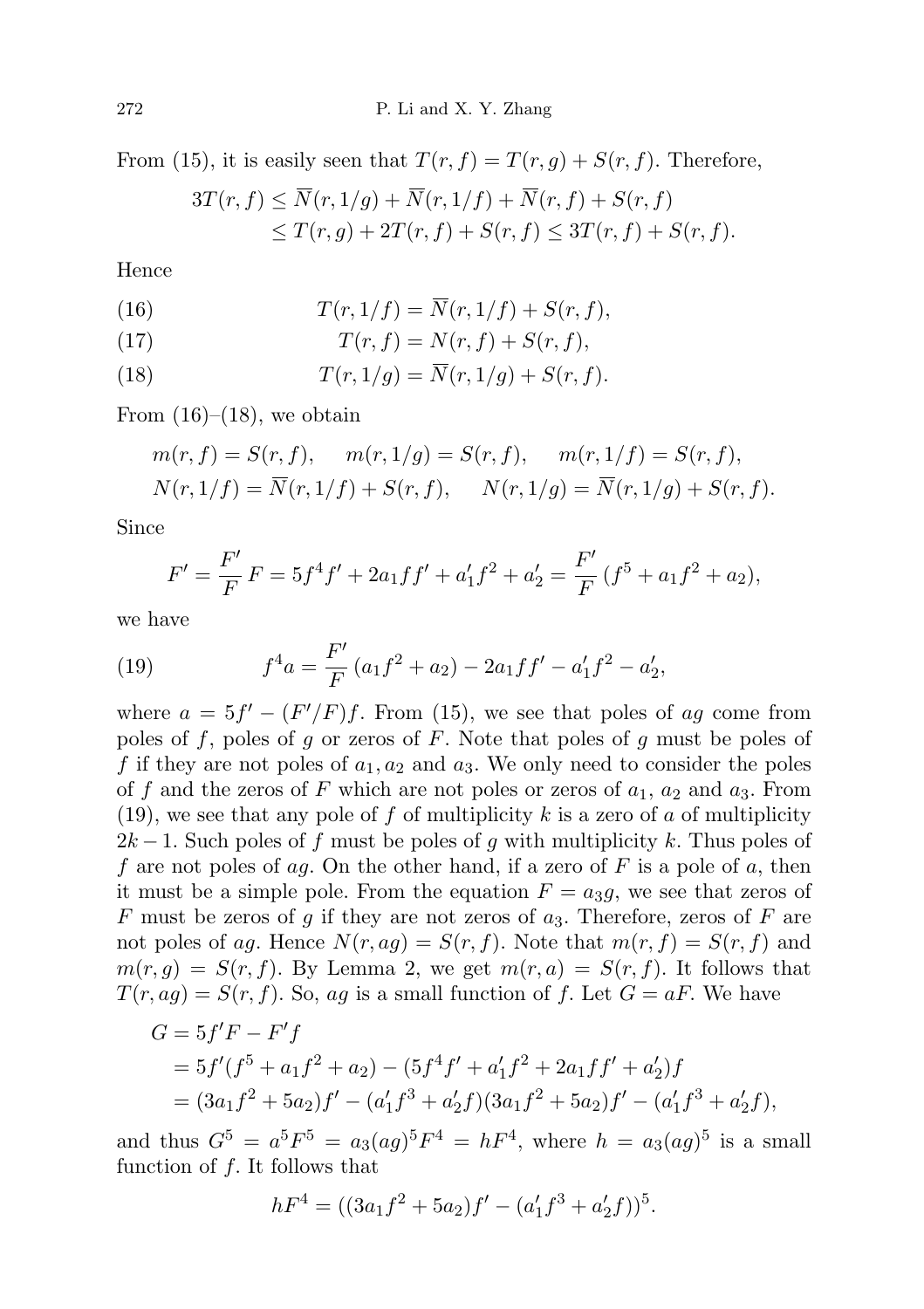From (15), it is easily seen that  $T(r, f) = T(r, g) + S(r, f)$ . Therefore,

$$
3T(r, f) \le \overline{N}(r, 1/g) + \overline{N}(r, 1/f) + \overline{N}(r, f) + S(r, f)
$$
  
 
$$
\le T(r, g) + 2T(r, f) + S(r, f) \le 3T(r, f) + S(r, f).
$$

Hence

(16) 
$$
T(r, 1/f) = \overline{N}(r, 1/f) + S(r, f),
$$

$$
(17) \tT(r, f) = N(r, f) + S(r, f),
$$

(18) 
$$
T(r, 1/g) = \overline{N}(r, 1/g) + S(r, f).
$$

From  $(16)$ – $(18)$ , we obtain

$$
m(r, f) = S(r, f), \quad m(r, 1/g) = S(r, f), \quad m(r, 1/f) = S(r, f),
$$
  

$$
N(r, 1/f) = \overline{N}(r, 1/f) + S(r, f), \quad N(r, 1/g) = \overline{N}(r, 1/g) + S(r, f).
$$

Since

$$
F' = \frac{F'}{F}F = 5f^4f' + 2a_1ff' + a'_1f^2 + a'_2 = \frac{F'}{F}(f^5 + a_1f^2 + a_2),
$$

we have

(19) 
$$
f^4a = \frac{F'}{F}(a_1f^2 + a_2) - 2a_1ff' - a'_1f^2 - a'_2,
$$

where  $a = 5f' - (F'/F)f$ . From (15), we see that poles of ag come from poles of f, poles of g or zeros of F. Note that poles of g must be poles of f if they are not poles of  $a_1, a_2$  and  $a_3$ . We only need to consider the poles of f and the zeros of F which are not poles or zeros of  $a_1$ ,  $a_2$  and  $a_3$ . From (19), we see that any pole of f of multiplicity k is a zero of a of multiplicity  $2k-1$ . Such poles of f must be poles of g with multiplicity k. Thus poles of f are not poles of ag. On the other hand, if a zero of F is a pole of a, then it must be a simple pole. From the equation  $F = a_3g$ , we see that zeros of F must be zeros of g if they are not zeros of  $a_3$ . Therefore, zeros of F are not poles of ag. Hence  $N(r, ag) = S(r, f)$ . Note that  $m(r, f) = S(r, f)$  and  $m(r, g) = S(r, f)$ . By Lemma 2, we get  $m(r, a) = S(r, f)$ . It follows that  $T(r, ag) = S(r, f)$ . So, ag is a small function of f. Let  $G = aF$ . We have

$$
G = 5f'F - F'f
$$
  
=  $5f'(f^5 + a_1f^2 + a_2) - (5f^4f' + a'_1f^2 + 2a_1ff' + a'_2)f$   
=  $(3a_1f^2 + 5a_2)f' - (a'_1f^3 + a'_2f)(3a_1f^2 + 5a_2)f' - (a'_1f^3 + a'_2f),$ 

and thus  $G^5 = a^5 F^5 = a_3 (a g)^5 F^4 = h F^4$ , where  $h = a_3 (a g)^5$  is a small function of  $f$ . It follows that

$$
hF4 = ((3a1f2 + 5a2)f' - (a'1f3 + a'2f))5.
$$